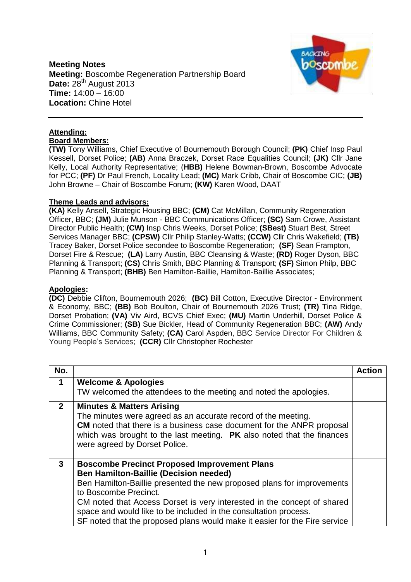## **Meeting Notes Meeting:** Boscombe Regeneration Partnership Board Date: 28<sup>th</sup> August 2013 **Time:** 14:00 – 16:00 **Location:** Chine Hotel



## **Attending: Board Members:**

**(TW)** Tony Williams, Chief Executive of Bournemouth Borough Council; **(PK)** Chief Insp Paul Kessell, Dorset Police; **(AB)** Anna Braczek, Dorset Race Equalities Council; **(JK)** Cllr Jane Kelly, Local Authority Representative; (**HBB)** Helene Bowman-Brown, Boscombe Advocate for PCC; **(PF)** Dr Paul French, Locality Lead; **(MC)** Mark Cribb, Chair of Boscombe CIC; **(JB)** John Browne – Chair of Boscombe Forum; **(KW)** Karen Wood, DAAT

## **Theme Leads and advisors:**

**(KA)** Kelly Ansell, Strategic Housing BBC; **(CM)** Cat McMillan, Community Regeneration Officer, BBC; **(JM)** Julie Munson - BBC Communications Officer; **(SC)** Sam Crowe, Assistant Director Public Health; **(CW)** Insp Chris Weeks, Dorset Police; **(SBest)** Stuart Best, Street Services Manager BBC; **(CPSW)** Cllr Philip Stanley-Watts; **(CCW)** Cllr Chris Wakefield; **(TB)** Tracey Baker, Dorset Police secondee to Boscombe Regeneration; **(SF)** Sean Frampton, Dorset Fire & Rescue; **(LA)** Larry Austin, BBC Cleansing & Waste; **(RD)** Roger Dyson, BBC Planning & Transport; **(CS)** Chris Smith, BBC Planning & Transport; **(SF)** Simon Philp, BBC Planning & Transport; **(BHB)** Ben Hamilton-Baillie, Hamilton-Baillie Associates;

## **Apologies:**

**(DC)** Debbie Clifton, Bournemouth 2026; **(BC)** Bill Cotton, Executive Director - Environment & Economy, BBC; **(BB)** Bob Boulton, Chair of Bournemouth 2026 Trust; **(TR)** Tina Ridge, Dorset Probation; **(VA)** Viv Aird, BCVS Chief Exec; **(MU)** Martin Underhill, Dorset Police & Crime Commissioner; **(SB)** Sue Bickler, Head of Community Regeneration BBC; **(AW)** Andy Williams, BBC Community Safety; **(CA)** Carol Aspden, BBC Service Director For Children & Young People's Services; **(CCR)** Cllr Christopher Rochester

| No.            |                                                                                                                                                                                                                                                                                                                                                                                                                                      | Action |
|----------------|--------------------------------------------------------------------------------------------------------------------------------------------------------------------------------------------------------------------------------------------------------------------------------------------------------------------------------------------------------------------------------------------------------------------------------------|--------|
| 1              | <b>Welcome &amp; Apologies</b>                                                                                                                                                                                                                                                                                                                                                                                                       |        |
|                | TW welcomed the attendees to the meeting and noted the apologies.                                                                                                                                                                                                                                                                                                                                                                    |        |
| 2 <sup>1</sup> | <b>Minutes &amp; Matters Arising</b><br>The minutes were agreed as an accurate record of the meeting.<br><b>CM</b> noted that there is a business case document for the ANPR proposal<br>which was brought to the last meeting. PK also noted that the finances<br>were agreed by Dorset Police.                                                                                                                                     |        |
| 3              | <b>Boscombe Precinct Proposed Improvement Plans</b><br><b>Ben Hamilton-Baillie (Decision needed)</b><br>Ben Hamilton-Baillie presented the new proposed plans for improvements<br>to Boscombe Precinct.<br>CM noted that Access Dorset is very interested in the concept of shared<br>space and would like to be included in the consultation process.<br>SF noted that the proposed plans would make it easier for the Fire service |        |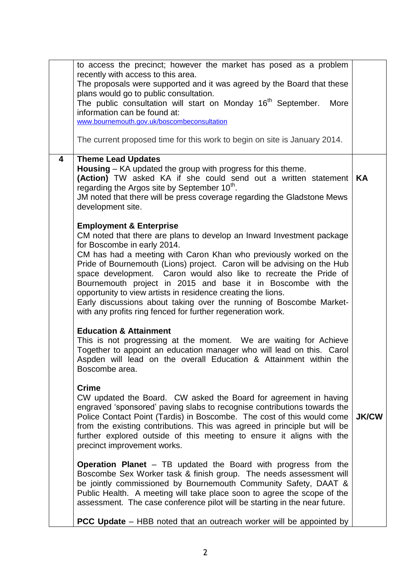|   | to access the precinct; however the market has posed as a problem<br>recently with access to this area.<br>The proposals were supported and it was agreed by the Board that these<br>plans would go to public consultation.<br>The public consultation will start on Monday 16 <sup>th</sup> September.<br>More<br>information can be found at:<br>www.bournemouth.gov.uk/boscombeconsultation<br>The current proposed time for this work to begin on site is January 2014.                                                                                                                                                           |              |
|---|---------------------------------------------------------------------------------------------------------------------------------------------------------------------------------------------------------------------------------------------------------------------------------------------------------------------------------------------------------------------------------------------------------------------------------------------------------------------------------------------------------------------------------------------------------------------------------------------------------------------------------------|--------------|
| 4 | <b>Theme Lead Updates</b><br><b>Housing</b> – KA updated the group with progress for this theme.<br>(Action) TW asked KA if she could send out a written statement<br>regarding the Argos site by September 10 <sup>th</sup> .<br>JM noted that there will be press coverage regarding the Gladstone Mews<br>development site.                                                                                                                                                                                                                                                                                                        | KA           |
|   | <b>Employment &amp; Enterprise</b><br>CM noted that there are plans to develop an Inward Investment package<br>for Boscombe in early 2014.<br>CM has had a meeting with Caron Khan who previously worked on the<br>Pride of Bournemouth (Lions) project. Caron will be advising on the Hub<br>space development. Caron would also like to recreate the Pride of<br>Bournemouth project in 2015 and base it in Boscombe with the<br>opportunity to view artists in residence creating the lions.<br>Early discussions about taking over the running of Boscombe Market-<br>with any profits ring fenced for further regeneration work. |              |
|   | <b>Education &amp; Attainment</b><br>This is not progressing at the moment. We are waiting for Achieve<br>Together to appoint an education manager who will lead on this. Carol<br>Aspden will lead on the overall Education & Attainment within the<br>Boscombe area.                                                                                                                                                                                                                                                                                                                                                                |              |
|   | <b>Crime</b><br>CW updated the Board. CW asked the Board for agreement in having<br>engraved 'sponsored' paving slabs to recognise contributions towards the<br>Police Contact Point (Tardis) in Boscombe. The cost of this would come<br>from the existing contributions. This was agreed in principle but will be<br>further explored outside of this meeting to ensure it aligns with the<br>precinct improvement works.                                                                                                                                                                                                           | <b>JK/CW</b> |
|   | <b>Operation Planet</b> – TB updated the Board with progress from the<br>Boscombe Sex Worker task & finish group. The needs assessment will<br>be jointly commissioned by Bournemouth Community Safety, DAAT &<br>Public Health. A meeting will take place soon to agree the scope of the<br>assessment. The case conference pilot will be starting in the near future.                                                                                                                                                                                                                                                               |              |
|   | PCC Update - HBB noted that an outreach worker will be appointed by                                                                                                                                                                                                                                                                                                                                                                                                                                                                                                                                                                   |              |